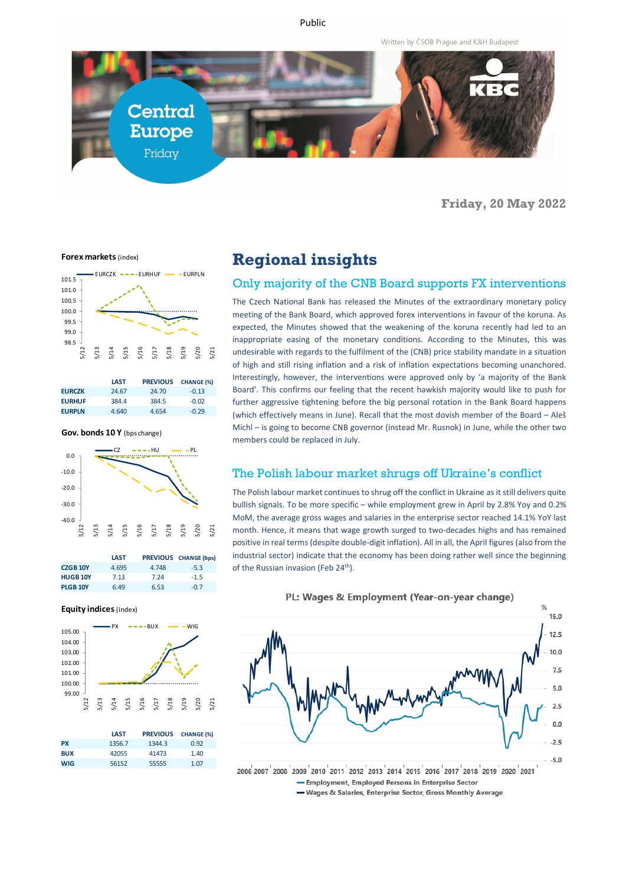Public

Written by ČSOB Prague and K&H Budapest



**Friday, 20 May 2022**

**Forex markets** (index)



|               | <b>LAST</b> | <b>PREVIOUS</b> | <b>CHANGE (%)</b> |
|---------------|-------------|-----------------|-------------------|
| <b>EURCZK</b> | 24.67       | 24.70           | $-0.13$           |
| <b>EURHUF</b> | 384.4       | 384.5           | $-0.02$           |
| <b>EURPLN</b> | 4.640       | 4.654           | $-0.29$           |

**Gov. bonds 10 Y** (bps change)



|                 | <b>LAST</b> |       | <b>PREVIOUS</b> CHANGE (bps) |
|-----------------|-------------|-------|------------------------------|
| <b>CZGB 10Y</b> | 4.695       | 4.748 | $-5.3$                       |
| <b>HUGB 10Y</b> | 7.13        | 7 24  | $-1.5$                       |
| <b>PLGB 10Y</b> | 6.49        | 6.53  | -0.7                         |

#### **Equity indices** (index)



|            | <b>LAST</b> | <b>PREVIOUS</b> | <b>CHANGE (%)</b> |
|------------|-------------|-----------------|-------------------|
| <b>PX</b>  | 1356.7      | 1344.3          | 0.92              |
| <b>BUX</b> | 42055       | 41473           | 1.40              |
| <b>WIG</b> | 56152       | 55555           | 1.07              |

# **Regional insights**

### Only majority of the CNB Board supports FX interventions

The Czech National Bank has released the Minutes of the extraordinary monetary policy meeting of the Bank Board, which approved forex interventions in favour of the koruna. As expected, the Minutes showed that the weakening of the koruna recently had led to an inappropriate easing of the monetary conditions. According to the Minutes, this was undesirable with regards to the fulfilment of the (CNB) price stability mandate in a situation of high and still rising inflation and a risk of inflation expectations becoming unanchored. Interestingly, however, the interventions were approved only by 'a majority of the Bank Board'. This confirms our feeling that the recent hawkish majority would like to push for further aggressive tightening before the big personal rotation in the Bank Board happens (which effectively means in June). Recall that the most dovish member of the Board – Aleš Michl – is going to become CNB governor (instead Mr. Rusnok) in June, while the other two members could be replaced in July.

#### The Polish labour market shrugs off Ukraine's conflict

The Polish labour market continues to shrug off the conflict in Ukraine as it still delivers quite bullish signals. To be more specific – while employment grew in April by 2.8% Yoy and 0.2% MoM, the average gross wages and salaries in the enterprise sector reached 14.1% YoY last month. Hence, it means that wage growth surged to two-decades highs and has remained positive in real terms (despite double-digit inflation). All in all, the April figures (also from the industrial sector) indicate that the economy has been doing rather well since the beginning of the Russian invasion (Feb 24<sup>th</sup>).

PL: Wages & Employment (Year-on-year change)



<sup>-</sup> Employment, Employed Persons in Enterprise Sector

<sup>-</sup> Wages & Salaries, Enterprise Sector, Gross Monthly Average